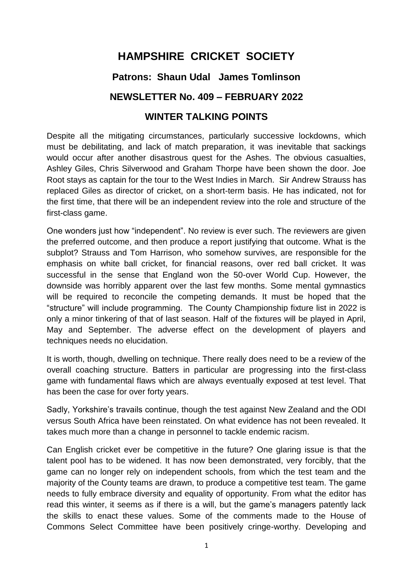# **HAMPSHIRE CRICKET SOCIETY**

# **Patrons: Shaun Udal James Tomlinson**

# **NEWSLETTER No. 409 – FEBRUARY 2022**

## **WINTER TALKING POINTS**

Despite all the mitigating circumstances, particularly successive lockdowns, which must be debilitating, and lack of match preparation, it was inevitable that sackings would occur after another disastrous quest for the Ashes. The obvious casualties, Ashley Giles, Chris Silverwood and Graham Thorpe have been shown the door. Joe Root stays as captain for the tour to the West Indies in March. Sir Andrew Strauss has replaced Giles as director of cricket, on a short-term basis. He has indicated, not for the first time, that there will be an independent review into the role and structure of the first-class game.

One wonders just how "independent". No review is ever such. The reviewers are given the preferred outcome, and then produce a report justifying that outcome. What is the subplot? Strauss and Tom Harrison, who somehow survives, are responsible for the emphasis on white ball cricket, for financial reasons, over red ball cricket. It was successful in the sense that England won the 50-over World Cup. However, the downside was horribly apparent over the last few months. Some mental gymnastics will be required to reconcile the competing demands. It must be hoped that the "structure" will include programming. The County Championship fixture list in 2022 is only a minor tinkering of that of last season. Half of the fixtures will be played in April, May and September. The adverse effect on the development of players and techniques needs no elucidation.

It is worth, though, dwelling on technique. There really does need to be a review of the overall coaching structure. Batters in particular are progressing into the first-class game with fundamental flaws which are always eventually exposed at test level. That has been the case for over forty years.

Sadly, Yorkshire's travails continue, though the test against New Zealand and the ODI versus South Africa have been reinstated. On what evidence has not been revealed. It takes much more than a change in personnel to tackle endemic racism.

Can English cricket ever be competitive in the future? One glaring issue is that the talent pool has to be widened. It has now been demonstrated, very forcibly, that the game can no longer rely on independent schools, from which the test team and the majority of the County teams are drawn, to produce a competitive test team. The game needs to fully embrace diversity and equality of opportunity. From what the editor has read this winter, it seems as if there is a will, but the game's managers patently lack the skills to enact these values. Some of the comments made to the House of Commons Select Committee have been positively cringe-worthy. Developing and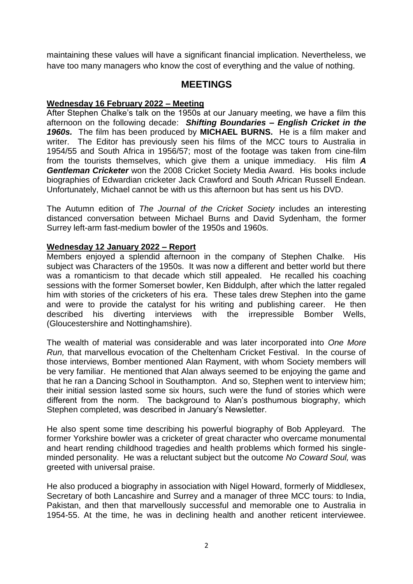maintaining these values will have a significant financial implication. Nevertheless, we have too many managers who know the cost of everything and the value of nothing.

### **MEETINGS**

#### **Wednesday 16 February 2022 – Meeting**

After Stephen Chalke's talk on the 1950s at our January meeting, we have a film this afternoon on the following decade: *Shifting Boundaries – English Cricket in the 1960s.* The film has been produced by **MICHAEL BURNS.** He is a film maker and writer. The Editor has previously seen his films of the MCC tours to Australia in 1954/55 and South Africa in 1956/57; most of the footage was taken from cine-film from the tourists themselves, which give them a unique immediacy. His film *A Gentleman Cricketer* won the 2008 Cricket Society Media Award. His books include biographies of Edwardian cricketer Jack Crawford and South African Russell Endean. Unfortunately, Michael cannot be with us this afternoon but has sent us his DVD.

The Autumn edition of *The Journal of the Cricket Society* includes an interesting distanced conversation between Michael Burns and David Sydenham, the former Surrey left-arm fast-medium bowler of the 1950s and 1960s.

#### **Wednesday 12 January 2022 – Report**

Members enjoyed a splendid afternoon in the company of Stephen Chalke. His subject was Characters of the 1950s. It was now a different and better world but there was a romanticism to that decade which still appealed. He recalled his coaching sessions with the former Somerset bowler, Ken Biddulph, after which the latter regaled him with stories of the cricketers of his era. These tales drew Stephen into the game and were to provide the catalyst for his writing and publishing career. He then described his diverting interviews with the irrepressible Bomber Wells, (Gloucestershire and Nottinghamshire).

The wealth of material was considerable and was later incorporated into *One More Run,* that marvellous evocation of the Cheltenham Cricket Festival. In the course of those interviews, Bomber mentioned Alan Rayment, with whom Society members will be very familiar. He mentioned that Alan always seemed to be enjoying the game and that he ran a Dancing School in Southampton. And so, Stephen went to interview him; their initial session lasted some six hours, such were the fund of stories which were different from the norm. The background to Alan's posthumous biography, which Stephen completed, was described in January's Newsletter.

He also spent some time describing his powerful biography of Bob Appleyard. The former Yorkshire bowler was a cricketer of great character who overcame monumental and heart rending childhood tragedies and health problems which formed his singleminded personality. He was a reluctant subject but the outcome *No Coward Soul,* was greeted with universal praise.

He also produced a biography in association with Nigel Howard, formerly of Middlesex, Secretary of both Lancashire and Surrey and a manager of three MCC tours: to India, Pakistan, and then that marvellously successful and memorable one to Australia in 1954-55. At the time, he was in declining health and another reticent interviewee.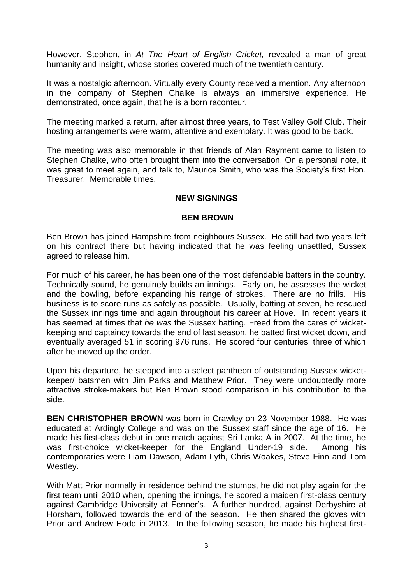However, Stephen, in *At The Heart of English Cricket,* revealed a man of great humanity and insight, whose stories covered much of the twentieth century.

It was a nostalgic afternoon. Virtually every County received a mention. Any afternoon in the company of Stephen Chalke is always an immersive experience. He demonstrated, once again, that he is a born raconteur.

The meeting marked a return, after almost three years, to Test Valley Golf Club. Their hosting arrangements were warm, attentive and exemplary. It was good to be back.

The meeting was also memorable in that friends of Alan Rayment came to listen to Stephen Chalke, who often brought them into the conversation. On a personal note, it was great to meet again, and talk to, Maurice Smith, who was the Society's first Hon. Treasurer. Memorable times.

#### **NEW SIGNINGS**

#### **BEN BROWN**

Ben Brown has joined Hampshire from neighbours Sussex. He still had two years left on his contract there but having indicated that he was feeling unsettled, Sussex agreed to release him.

For much of his career, he has been one of the most defendable batters in the country. Technically sound, he genuinely builds an innings. Early on, he assesses the wicket and the bowling, before expanding his range of strokes. There are no frills. His business is to score runs as safely as possible. Usually, batting at seven, he rescued the Sussex innings time and again throughout his career at Hove. In recent years it has seemed at times that *he was* the Sussex batting. Freed from the cares of wicketkeeping and captaincy towards the end of last season, he batted first wicket down, and eventually averaged 51 in scoring 976 runs. He scored four centuries, three of which after he moved up the order.

Upon his departure, he stepped into a select pantheon of outstanding Sussex wicketkeeper/ batsmen with Jim Parks and Matthew Prior. They were undoubtedly more attractive stroke-makers but Ben Brown stood comparison in his contribution to the side.

**BEN CHRISTOPHER BROWN** was born in Crawley on 23 November 1988. He was educated at Ardingly College and was on the Sussex staff since the age of 16. He made his first-class debut in one match against Sri Lanka A in 2007. At the time, he was first-choice wicket-keeper for the England Under-19 side. Among his contemporaries were Liam Dawson, Adam Lyth, Chris Woakes, Steve Finn and Tom Westley.

With Matt Prior normally in residence behind the stumps, he did not play again for the first team until 2010 when, opening the innings, he scored a maiden first-class century against Cambridge University at Fenner's. A further hundred, against Derbyshire at Horsham, followed towards the end of the season. He then shared the gloves with Prior and Andrew Hodd in 2013. In the following season, he made his highest first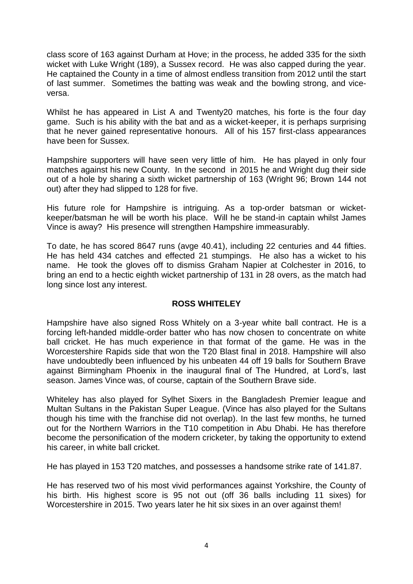class score of 163 against Durham at Hove; in the process, he added 335 for the sixth wicket with Luke Wright (189), a Sussex record. He was also capped during the year. He captained the County in a time of almost endless transition from 2012 until the start of last summer. Sometimes the batting was weak and the bowling strong, and viceversa.

Whilst he has appeared in List A and Twenty20 matches, his forte is the four day game. Such is his ability with the bat and as a wicket-keeper, it is perhaps surprising that he never gained representative honours. All of his 157 first-class appearances have been for Sussex.

Hampshire supporters will have seen very little of him. He has played in only four matches against his new County. In the second in 2015 he and Wright dug their side out of a hole by sharing a sixth wicket partnership of 163 (Wright 96; Brown 144 not out) after they had slipped to 128 for five.

His future role for Hampshire is intriguing. As a top-order batsman or wicketkeeper/batsman he will be worth his place. Will he be stand-in captain whilst James Vince is away? His presence will strengthen Hampshire immeasurably.

To date, he has scored 8647 runs (avge 40.41), including 22 centuries and 44 fifties. He has held 434 catches and effected 21 stumpings. He also has a wicket to his name. He took the gloves off to dismiss Graham Napier at Colchester in 2016, to bring an end to a hectic eighth wicket partnership of 131 in 28 overs, as the match had long since lost any interest.

#### **ROSS WHITELEY**

Hampshire have also signed Ross Whitely on a 3-year white ball contract. He is a forcing left-handed middle-order batter who has now chosen to concentrate on white ball cricket. He has much experience in that format of the game. He was in the Worcestershire Rapids side that won the T20 Blast final in 2018. Hampshire will also have undoubtedly been influenced by his unbeaten 44 off 19 balls for Southern Brave against Birmingham Phoenix in the inaugural final of The Hundred, at Lord's, last season. James Vince was, of course, captain of the Southern Brave side.

Whiteley has also played for Sylhet Sixers in the Bangladesh Premier league and Multan Sultans in the Pakistan Super League. (Vince has also played for the Sultans though his time with the franchise did not overlap). In the last few months, he turned out for the Northern Warriors in the T10 competition in Abu Dhabi. He has therefore become the personification of the modern cricketer, by taking the opportunity to extend his career, in white ball cricket.

He has played in 153 T20 matches, and possesses a handsome strike rate of 141.87.

He has reserved two of his most vivid performances against Yorkshire, the County of his birth. His highest score is 95 not out (off 36 balls including 11 sixes) for Worcestershire in 2015. Two years later he hit six sixes in an over against them!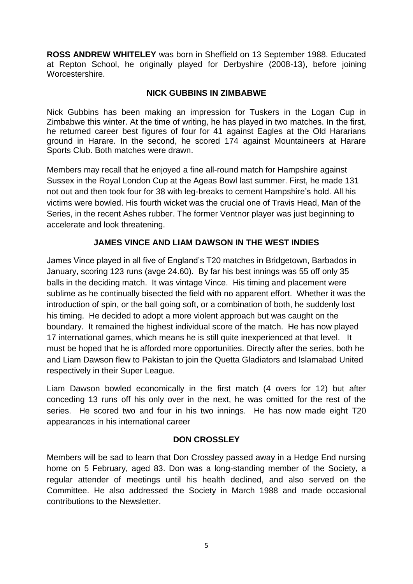**ROSS ANDREW WHITELEY** was born in Sheffield on 13 September 1988. Educated at Repton School, he originally played for Derbyshire (2008-13), before joining Worcestershire.

#### **NICK GUBBINS IN ZIMBABWE**

Nick Gubbins has been making an impression for Tuskers in the Logan Cup in Zimbabwe this winter. At the time of writing, he has played in two matches. In the first, he returned career best figures of four for 41 against Eagles at the Old Hararians ground in Harare. In the second, he scored 174 against Mountaineers at Harare Sports Club. Both matches were drawn.

Members may recall that he enjoyed a fine all-round match for Hampshire against Sussex in the Royal London Cup at the Ageas Bowl last summer. First, he made 131 not out and then took four for 38 with leg-breaks to cement Hampshire's hold. All his victims were bowled. His fourth wicket was the crucial one of Travis Head, Man of the Series, in the recent Ashes rubber. The former Ventnor player was just beginning to accelerate and look threatening.

### **JAMES VINCE AND LIAM DAWSON IN THE WEST INDIES**

James Vince played in all five of England's T20 matches in Bridgetown, Barbados in January, scoring 123 runs (avge 24.60). By far his best innings was 55 off only 35 balls in the deciding match. It was vintage Vince. His timing and placement were sublime as he continually bisected the field with no apparent effort. Whether it was the introduction of spin, or the ball going soft, or a combination of both, he suddenly lost his timing. He decided to adopt a more violent approach but was caught on the boundary. It remained the highest individual score of the match. He has now played 17 international games, which means he is still quite inexperienced at that level. It must be hoped that he is afforded more opportunities. Directly after the series, both he and Liam Dawson flew to Pakistan to join the Quetta Gladiators and Islamabad United respectively in their Super League.

Liam Dawson bowled economically in the first match (4 overs for 12) but after conceding 13 runs off his only over in the next, he was omitted for the rest of the series. He scored two and four in his two innings. He has now made eight T20 appearances in his international career

#### **DON CROSSLEY**

Members will be sad to learn that Don Crossley passed away in a Hedge End nursing home on 5 February, aged 83. Don was a long-standing member of the Society, a regular attender of meetings until his health declined, and also served on the Committee. He also addressed the Society in March 1988 and made occasional contributions to the Newsletter.